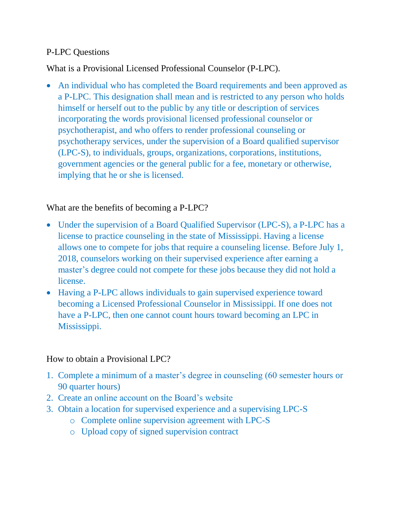#### P-LPC Questions

What is a Provisional Licensed Professional Counselor (P-LPC).

• An individual who has completed the Board requirements and been approved as a P-LPC. This designation shall mean and is restricted to any person who holds himself or herself out to the public by any title or description of services incorporating the words provisional licensed professional counselor or psychotherapist, and who offers to render professional counseling or psychotherapy services, under the supervision of a Board qualified supervisor (LPC-S), to individuals, groups, organizations, corporations, institutions, government agencies or the general public for a fee, monetary or otherwise, implying that he or she is licensed.

What are the benefits of becoming a P-LPC?

- Under the supervision of a Board Qualified Supervisor (LPC-S), a P-LPC has a license to practice counseling in the state of Mississippi. Having a license allows one to compete for jobs that require a counseling license. Before July 1, 2018, counselors working on their supervised experience after earning a master's degree could not compete for these jobs because they did not hold a license.
- Having a P-LPC allows individuals to gain supervised experience toward becoming a Licensed Professional Counselor in Mississippi. If one does not have a P-LPC, then one cannot count hours toward becoming an LPC in Mississippi.

### How to obtain a Provisional LPC?

- 1. Complete a minimum of a master's degree in counseling (60 semester hours or 90 quarter hours)
- 2. Create an online account on the Board's website
- 3. Obtain a location for supervised experience and a supervising LPC-S
	- o Complete online supervision agreement with LPC-S
	- o Upload copy of signed supervision contract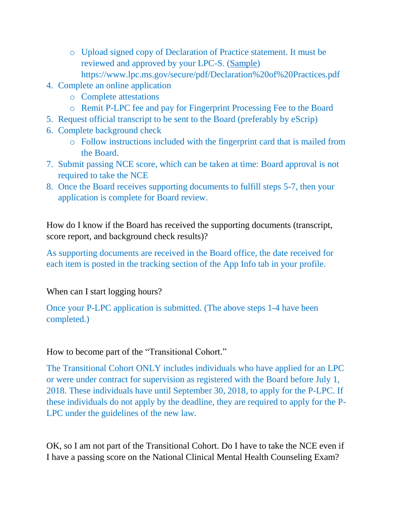- o Upload signed copy of Declaration of Practice statement. It must be reviewed and approved by your LPC-S. [\(Sample\)](https://www.lpc.ms.gov/secure/pdf/Declaration%20of%20Practices.pdf) https://www.lpc.ms.gov/secure/pdf/Declaration%20of%20Practices.pdf
- 4. Complete an online application
	- o Complete attestations
	- o Remit P-LPC fee and pay for Fingerprint Processing Fee to the Board
- 5. Request official transcript to be sent to the Board (preferably by eScrip)
- 6. Complete background check
	- o Follow instructions included with the fingerprint card that is mailed from the Board.
- 7. Submit passing NCE score, which can be taken at time: Board approval is not required to take the NCE
- 8. Once the Board receives supporting documents to fulfill steps 5-7, then your application is complete for Board review.

How do I know if the Board has received the supporting documents (transcript, score report, and background check results)?

As supporting documents are received in the Board office, the date received for each item is posted in the tracking section of the App Info tab in your profile.

## When can I start logging hours?

Once your P-LPC application is submitted. (The above steps 1-4 have been completed.)

## How to become part of the "Transitional Cohort."

The Transitional Cohort ONLY includes individuals who have applied for an LPC or were under contract for supervision as registered with the Board before July 1, 2018. These individuals have until September 30, 2018, to apply for the P-LPC. If these individuals do not apply by the deadline, they are required to apply for the P-LPC under the guidelines of the new law.

OK, so I am not part of the Transitional Cohort. Do I have to take the NCE even if I have a passing score on the National Clinical Mental Health Counseling Exam?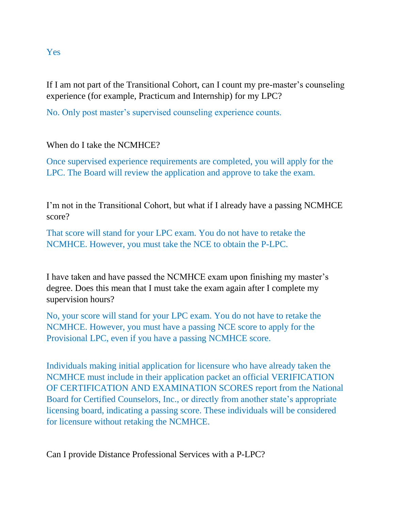# If I am not part of the Transitional Cohort, can I count my pre-master's counseling experience (for example, Practicum and Internship) for my LPC?

No. Only post master's supervised counseling experience counts.

When do I take the NCMHCE?

Once supervised experience requirements are completed, you will apply for the LPC. The Board will review the application and approve to take the exam.

I'm not in the Transitional Cohort, but what if I already have a passing NCMHCE score?

That score will stand for your LPC exam. You do not have to retake the NCMHCE. However, you must take the NCE to obtain the P-LPC.

I have taken and have passed the NCMHCE exam upon finishing my master's degree. Does this mean that I must take the exam again after I complete my supervision hours?

No, your score will stand for your LPC exam. You do not have to retake the NCMHCE. However, you must have a passing NCE score to apply for the Provisional LPC, even if you have a passing NCMHCE score.

Individuals making initial application for licensure who have already taken the NCMHCE must include in their application packet an official VERIFICATION OF CERTIFICATION AND EXAMINATION SCORES report from the National Board for Certified Counselors, Inc., or directly from another state's appropriate licensing board, indicating a passing score. These individuals will be considered for licensure without retaking the NCMHCE.

Can I provide Distance Professional Services with a P-LPC?

#### Yes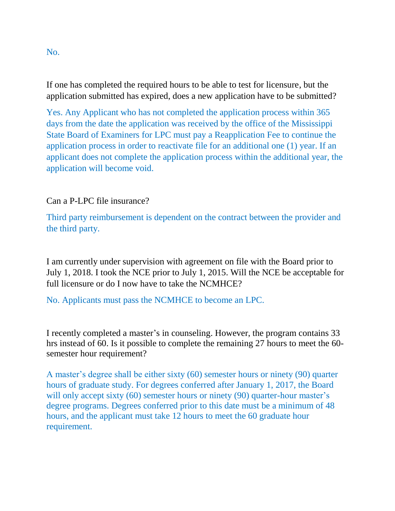If one has completed the required hours to be able to test for licensure, but the application submitted has expired, does a new application have to be submitted?

Yes. Any Applicant who has not completed the application process within 365 days from the date the application was received by the office of the Mississippi State Board of Examiners for LPC must pay a Reapplication Fee to continue the application process in order to reactivate file for an additional one (1) year. If an applicant does not complete the application process within the additional year, the application will become void.

Can a P-LPC file insurance?

Third party reimbursement is dependent on the contract between the provider and the third party.

I am currently under supervision with agreement on file with the Board prior to July 1, 2018. I took the NCE prior to July 1, 2015. Will the NCE be acceptable for full licensure or do I now have to take the NCMHCE?

No. Applicants must pass the NCMHCE to become an LPC.

I recently completed a master's in counseling. However, the program contains 33 hrs instead of 60. Is it possible to complete the remaining 27 hours to meet the 60 semester hour requirement?

A master's degree shall be either sixty (60) semester hours or ninety (90) quarter hours of graduate study. For degrees conferred after January 1, 2017, the Board will only accept sixty (60) semester hours or ninety (90) quarter-hour master's degree programs. Degrees conferred prior to this date must be a minimum of 48 hours, and the applicant must take 12 hours to meet the 60 graduate hour requirement.

No.